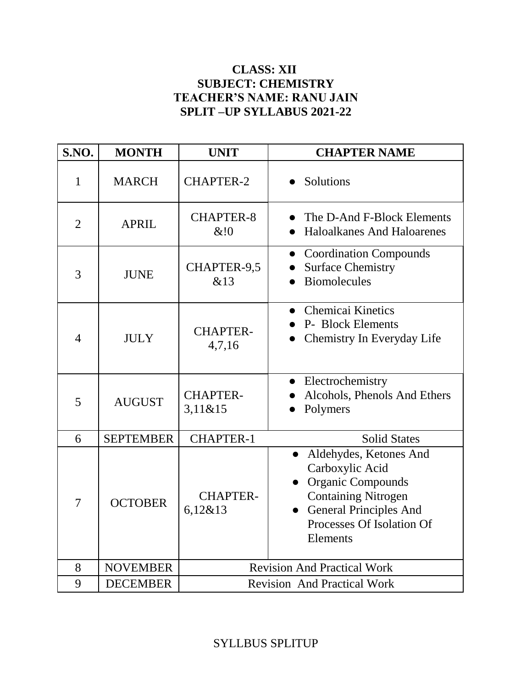#### **CLASS: XII SUBJECT: CHEMISTRY TEACHER'S NAME: RANU JAIN SPLIT –UP SYLLABUS 2021-22**

| S.NO.          | <b>MONTH</b>     | <b>UNIT</b>                        | <b>CHAPTER NAME</b>                                                                                                                                                                        |
|----------------|------------------|------------------------------------|--------------------------------------------------------------------------------------------------------------------------------------------------------------------------------------------|
| $\mathbf{1}$   | <b>MARCH</b>     | <b>CHAPTER-2</b>                   | Solutions                                                                                                                                                                                  |
| $\overline{2}$ | <b>APRIL</b>     | <b>CHAPTER-8</b><br>& 0            | The D-And F-Block Elements<br><b>Haloalkanes And Haloarenes</b>                                                                                                                            |
| 3              | <b>JUNE</b>      | CHAPTER-9,5<br>&13                 | • Coordination Compounds<br><b>Surface Chemistry</b><br><b>Biomolecules</b>                                                                                                                |
| 4              | <b>JULY</b>      | <b>CHAPTER-</b><br>4,7,16          | Chemicai Kinetics<br>P- Block Elements<br>Chemistry In Everyday Life                                                                                                                       |
| 5              | <b>AUGUST</b>    | <b>CHAPTER-</b><br>3,11&815        | • Electrochemistry<br>Alcohols, Phenols And Ethers<br>Polymers                                                                                                                             |
| 6              | <b>SEPTEMBER</b> | <b>CHAPTER-1</b>                   | <b>Solid States</b>                                                                                                                                                                        |
| 7              | <b>OCTOBER</b>   | <b>CHAPTER-</b><br>6,12&813        | Aldehydes, Ketones And<br>Carboxylic Acid<br><b>Organic Compounds</b><br><b>Containing Nitrogen</b><br><b>General Principles And</b><br>$\bullet$<br>Processes Of Isolation Of<br>Elements |
| 8              | <b>NOVEMBER</b>  | <b>Revision And Practical Work</b> |                                                                                                                                                                                            |
| 9              | <b>DECEMBER</b>  | <b>Revision And Practical Work</b> |                                                                                                                                                                                            |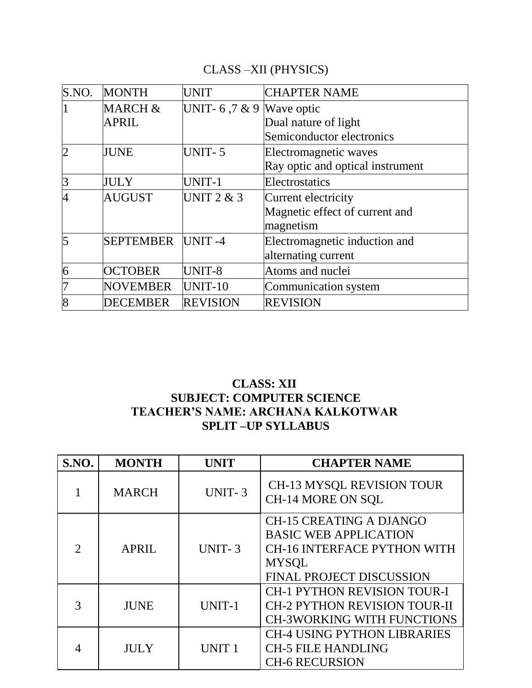## CLASS –XII (PHYSICS)

| S.NO.          | <b>MONTH</b>            | <b>UNIT</b>                | <b>CHAPTER NAME</b>              |
|----------------|-------------------------|----------------------------|----------------------------------|
|                | MARCH &                 | UNIT- 6,7 & 9   Wave optic |                                  |
|                | <b>APRIL</b>            |                            | Dual nature of light             |
|                |                         |                            | Semiconductor electronics        |
| $\overline{2}$ | <b>JUNE</b>             | <b>UNIT-5</b>              | Electromagnetic waves            |
|                |                         |                            | Ray optic and optical instrument |
| 3              | <b>JULY</b>             | UNIT-1                     | Electrostatics                   |
| 4              | <b>AUGUST</b>           | UNIT $2 & 3$               | Current electricity              |
|                |                         |                            | Magnetic effect of current and   |
|                |                         |                            | magnetism                        |
| 5              | <b>SEPTEMBER UNIT-4</b> |                            | Electromagnetic induction and    |
|                |                         |                            | alternating current              |
| 6              | <b>OCTOBER</b>          | UNIT-8                     | Atoms and nuclei                 |
| 7              | <b>NOVEMBER</b>         | UNIT-10                    | Communication system             |
| 8              | <b>DECEMBER</b>         | <b>REVISION</b>            | <b>REVISION</b>                  |

#### **CLASS: XII SUBJECT: COMPUTER SCIENCE TEACHER'S NAME: ARCHANA KALKOTWAR SPLIT –UP SYLLABUS**

| S.NO. | <b>MONTH</b> | <b>UNIT</b>   | <b>CHAPTER NAME</b>                                                                                                                                     |
|-------|--------------|---------------|---------------------------------------------------------------------------------------------------------------------------------------------------------|
|       | <b>MARCH</b> | <b>UNIT-3</b> | <b>CH-13 MYSQL REVISION TOUR</b><br>CH-14 MORE ON SQL                                                                                                   |
|       | <b>APRIL</b> | <b>UNIT-3</b> | <b>CH-15 CREATING A DJANGO</b><br><b>BASIC WEB APPLICATION</b><br><b>CH-16 INTERFACE PYTHON WITH</b><br><b>MYSQL</b><br><b>FINAL PROJECT DISCUSSION</b> |
|       | <b>JUNE</b>  | UNIT-1        | <b>CH-1 PYTHON REVISION TOUR-I</b><br><b>CH-2 PYTHON REVISION TOUR-II</b><br><b>CH-3WORKING WITH FUNCTIONS</b>                                          |
|       | <b>JULY</b>  | <b>UNIT1</b>  | <b>CH-4 USING PYTHON LIBRARIES</b><br><b>CH-5 FILE HANDLING</b><br><b>CH-6 RECURSION</b>                                                                |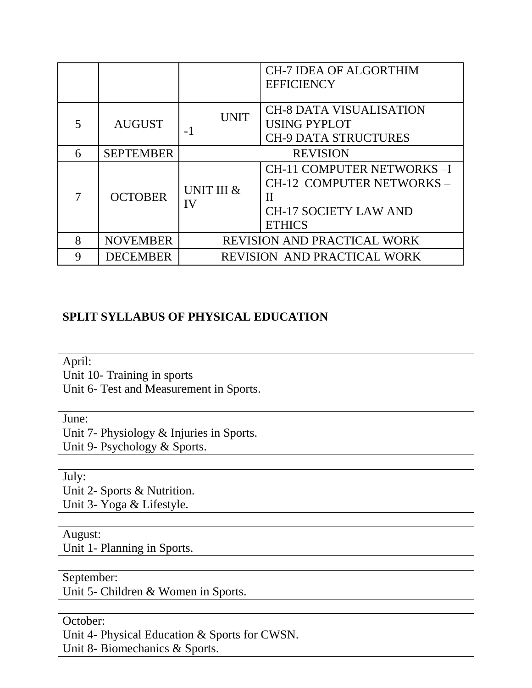|   |                  |                                    | <b>CH-7 IDEA OF ALGORTHIM</b><br><b>EFFICIENCY</b>                                                                            |
|---|------------------|------------------------------------|-------------------------------------------------------------------------------------------------------------------------------|
| 5 | <b>AUGUST</b>    | <b>UNIT</b><br>$-1$                | <b>CH-8 DATA VISUALISATION</b><br><b>USING PYPLOT</b><br><b>CH-9 DATA STRUCTURES</b>                                          |
| 6 | <b>SEPTEMBER</b> | <b>REVISION</b>                    |                                                                                                                               |
|   | <b>OCTOBER</b>   | UNIT III &<br>IV                   | <b>CH-11 COMPUTER NETWORKS-I</b><br>CH-12 COMPUTER NETWORKS-<br>$\mathbf{H}$<br><b>CH-17 SOCIETY LAW AND</b><br><b>ETHICS</b> |
| 8 | <b>NOVEMBER</b>  | <b>REVISION AND PRACTICAL WORK</b> |                                                                                                                               |
| 9 | <b>DECEMBER</b>  | <b>REVISION AND PRACTICAL WORK</b> |                                                                                                                               |

### **SPLIT SYLLABUS OF PHYSICAL EDUCATION**

April:

Unit 10- Training in sports

Unit 6- Test and Measurement in Sports.

June:

Unit 7- Physiology & Injuries in Sports.

Unit 9- Psychology & Sports.

July:

Unit 2- Sports & Nutrition.

Unit 3- Yoga & Lifestyle.

August:

Unit 1- Planning in Sports.

September:

Unit 5- Children & Women in Sports.

October:

Unit 4- Physical Education & Sports for CWSN.

Unit 8- Biomechanics & Sports.